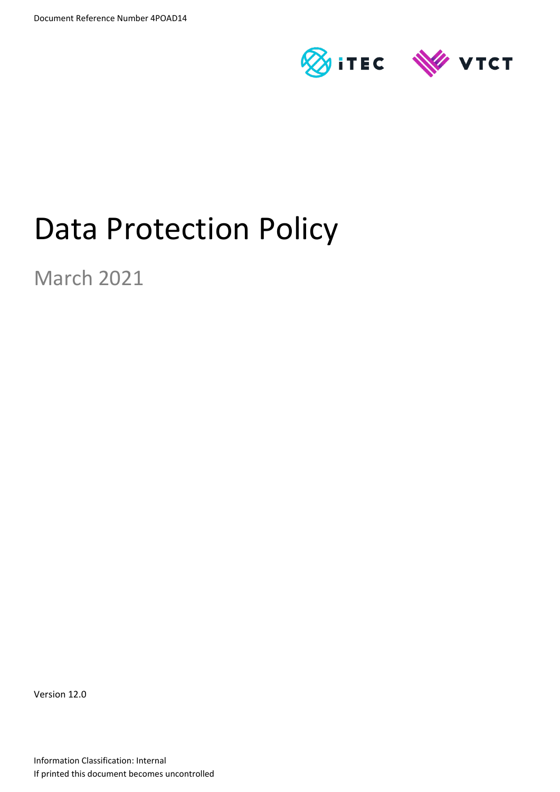

# Data Protection Policy

March 2021

Version 12.0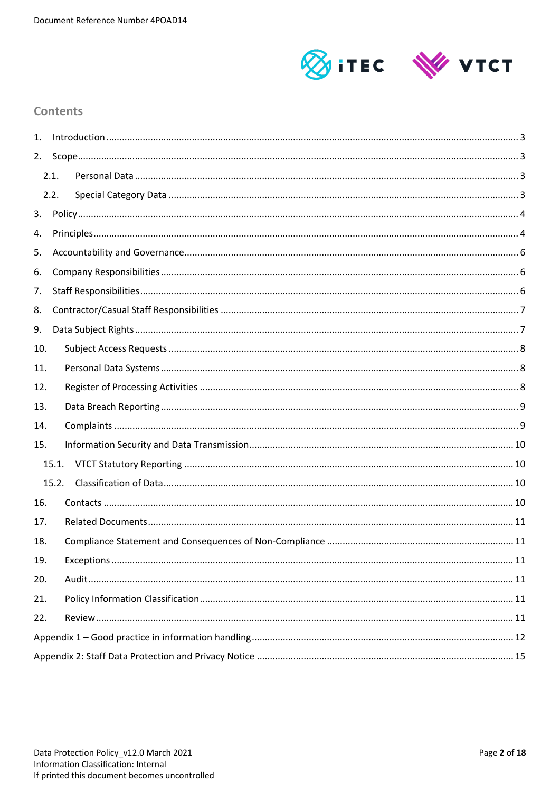

## **Contents**

| 1.    |       |  |  |  |  |
|-------|-------|--|--|--|--|
| 2.    |       |  |  |  |  |
|       | 2.1.  |  |  |  |  |
|       | 2.2.  |  |  |  |  |
| 3.    |       |  |  |  |  |
| 4.    |       |  |  |  |  |
| 5.    |       |  |  |  |  |
| 6.    |       |  |  |  |  |
| 7.    |       |  |  |  |  |
| 8.    |       |  |  |  |  |
| 9.    |       |  |  |  |  |
| 10.   |       |  |  |  |  |
| 11.   |       |  |  |  |  |
| 12.   |       |  |  |  |  |
| 13.   |       |  |  |  |  |
| 14.   |       |  |  |  |  |
| 15.   |       |  |  |  |  |
|       | 15.1. |  |  |  |  |
| 15.2. |       |  |  |  |  |
| 16.   |       |  |  |  |  |
| 17.   |       |  |  |  |  |
| 18.   |       |  |  |  |  |
| 19.   |       |  |  |  |  |
| 20.   |       |  |  |  |  |
| 21.   |       |  |  |  |  |
| 22.   |       |  |  |  |  |
|       |       |  |  |  |  |
|       |       |  |  |  |  |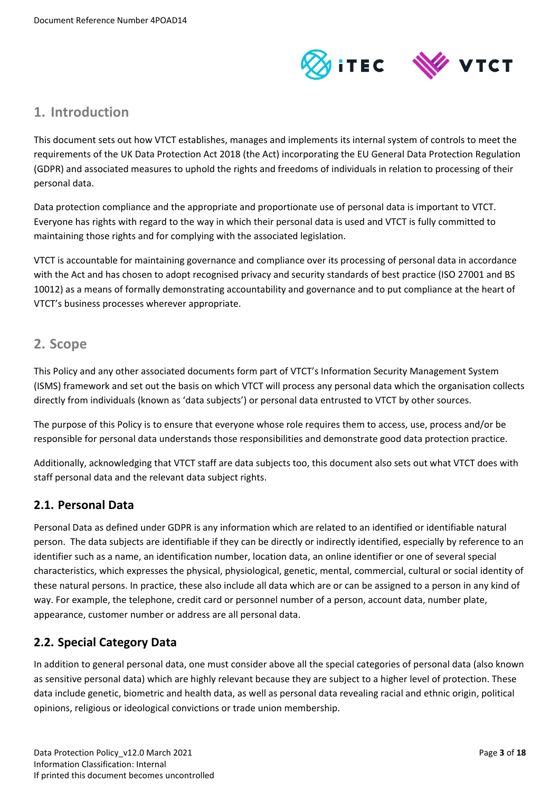

## <span id="page-2-0"></span>**1. Introduction**

This document sets out how VTCT establishes, manages and implements its internal system of controls to meet the requirements of the UK Data Protection Act 2018 (the Act) incorporating the EU General Data Protection Regulation (GDPR) and associated measures to uphold the rights and freedoms of individuals in relation to processing of their personal data.

Data protection compliance and the appropriate and proportionate use of personal data is important to VTCT. Everyone has rights with regard to the way in which their personal data is used and VTCT is fully committed to maintaining those rights and for complying with the associated legislation.

VTCT is accountable for maintaining governance and compliance over its processing of personal data in accordance with the Act and has chosen to adopt recognised privacy and security standards of best practice (ISO 27001 and BS 10012) as a means of formally demonstrating accountability and governance and to put compliance at the heart of VTCT's business processes wherever appropriate.

## <span id="page-2-1"></span>**2. Scope**

This Policy and any other associated documents form part of VTCT's Information Security Management System (ISMS) framework and set out the basis on which VTCT will process any personal data which the organisation collects directly from individuals (known as 'data subjects') or personal data entrusted to VTCT by other sources.

The purpose of this Policy is to ensure that everyone whose role requires them to access, use, process and/or be responsible for personal data understands those responsibilities and demonstrate good data protection practice.

Additionally, acknowledging that VTCT staff are data subjects too, this document also sets out what VTCT does with staff personal data and the relevant data subject rights.

## <span id="page-2-2"></span>**2.1. Personal Data**

Personal Data as defined under GDPR is any information which are related to an identified or identifiable natural person. The data subjects are identifiable if they can be directly or indirectly identified, especially by reference to an identifier such as a name, an identification number, location data, an online identifier or one of several special characteristics, which expresses the physical, physiological, genetic, mental, commercial, cultural or social identity of these natural persons. In practice, these also include all data which are or can be assigned to a person in any kind of way. For example, the telephone, credit card or personnel number of a person, account data, number plate, appearance, customer number or address are all personal data.

## <span id="page-2-3"></span>**2.2. Special Category Data**

In addition to general personal data, one must consider above all the special categories of personal data (also known as sensitive personal data) which are highly relevant because they are subject to a higher level of protection. These data include genetic, biometric and health data, as well as personal data revealing racial and ethnic origin, political opinions, religious or ideological convictions or trade union membership.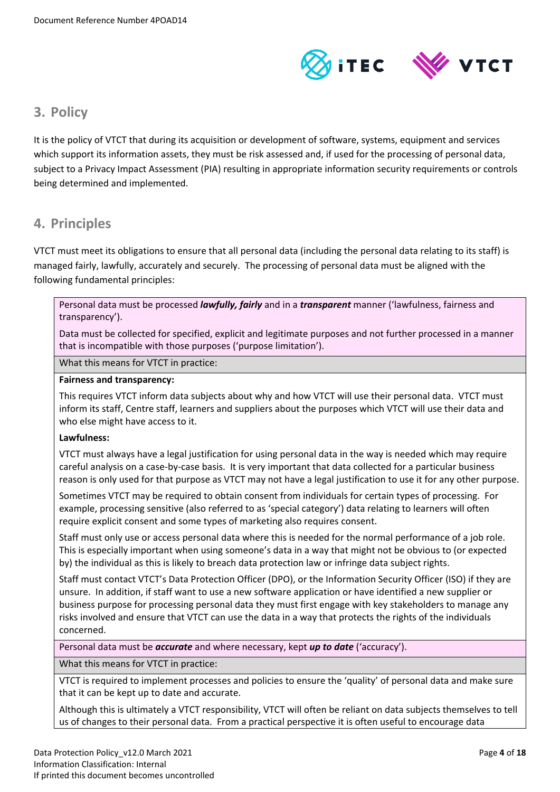

## <span id="page-3-0"></span>**3. Policy**

It is the policy of VTCT that during its acquisition or development of software, systems, equipment and services which support its information assets, they must be risk assessed and, if used for the processing of personal data, subject to a Privacy Impact Assessment (PIA) resulting in appropriate information security requirements or controls being determined and implemented.

# <span id="page-3-1"></span>**4. Principles**

VTCT must meet its obligations to ensure that all personal data (including the personal data relating to its staff) is managed fairly, lawfully, accurately and securely. The processing of personal data must be aligned with the following fundamental principles:

Personal data must be processed *lawfully, fairly* and in a *transparent* manner ('lawfulness, fairness and transparency').

Data must be collected for specified, explicit and legitimate purposes and not further processed in a manner that is incompatible with those purposes ('purpose limitation').

What this means for VTCT in practice:

#### **Fairness and transparency:**

This requires VTCT inform data subjects about why and how VTCT will use their personal data. VTCT must inform its staff, Centre staff, learners and suppliers about the purposes which VTCT will use their data and who else might have access to it.

## **Lawfulness:**

VTCT must always have a legal justification for using personal data in the way is needed which may require careful analysis on a case-by-case basis. It is very important that data collected for a particular business reason is only used for that purpose as VTCT may not have a legal justification to use it for any other purpose.

Sometimes VTCT may be required to obtain consent from individuals for certain types of processing. For example, processing sensitive (also referred to as 'special category') data relating to learners will often require explicit consent and some types of marketing also requires consent.

Staff must only use or access personal data where this is needed for the normal performance of a job role. This is especially important when using someone's data in a way that might not be obvious to (or expected by) the individual as this is likely to breach data protection law or infringe data subject rights.

Staff must contact VTCT's Data Protection Officer (DPO), or the Information Security Officer (ISO) if they are unsure. In addition, if staff want to use a new software application or have identified a new supplier or business purpose for processing personal data they must first engage with key stakeholders to manage any risks involved and ensure that VTCT can use the data in a way that protects the rights of the individuals concerned.

Personal data must be *accurate* and where necessary, kept *up to date* ('accuracy').

What this means for VTCT in practice:

VTCT is required to implement processes and policies to ensure the 'quality' of personal data and make sure that it can be kept up to date and accurate.

Although this is ultimately a VTCT responsibility, VTCT will often be reliant on data subjects themselves to tell us of changes to their personal data. From a practical perspective it is often useful to encourage data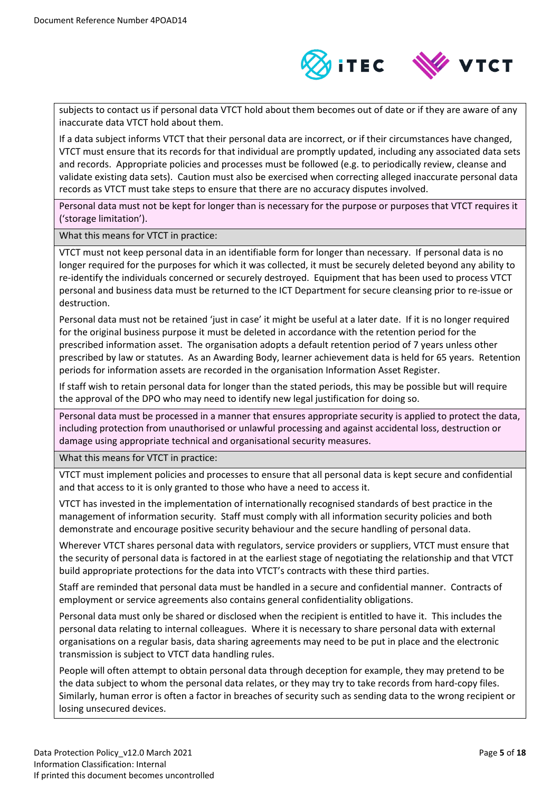

subjects to contact us if personal data VTCT hold about them becomes out of date or if they are aware of any inaccurate data VTCT hold about them.

If a data subject informs VTCT that their personal data are incorrect, or if their circumstances have changed, VTCT must ensure that its records for that individual are promptly updated, including any associated data sets and records. Appropriate policies and processes must be followed (e.g. to periodically review, cleanse and validate existing data sets). Caution must also be exercised when correcting alleged inaccurate personal data records as VTCT must take steps to ensure that there are no accuracy disputes involved.

Personal data must not be kept for longer than is necessary for the purpose or purposes that VTCT requires it ('storage limitation').

What this means for VTCT in practice:

VTCT must not keep personal data in an identifiable form for longer than necessary. If personal data is no longer required for the purposes for which it was collected, it must be securely deleted beyond any ability to re-identify the individuals concerned or securely destroyed. Equipment that has been used to process VTCT personal and business data must be returned to the ICT Department for secure cleansing prior to re-issue or destruction.

Personal data must not be retained 'just in case' it might be useful at a later date. If it is no longer required for the original business purpose it must be deleted in accordance with the retention period for the prescribed information asset. The organisation adopts a default retention period of 7 years unless other prescribed by law or statutes. As an Awarding Body, learner achievement data is held for 65 years. Retention periods for information assets are recorded in the organisation Information Asset Register.

If staff wish to retain personal data for longer than the stated periods, this may be possible but will require the approval of the DPO who may need to identify new legal justification for doing so.

Personal data must be processed in a manner that ensures appropriate security is applied to protect the data, including protection from unauthorised or unlawful processing and against accidental loss, destruction or damage using appropriate technical and organisational security measures.

What this means for VTCT in practice:

VTCT must implement policies and processes to ensure that all personal data is kept secure and confidential and that access to it is only granted to those who have a need to access it.

VTCT has invested in the implementation of internationally recognised standards of best practice in the management of information security. Staff must comply with all information security policies and both demonstrate and encourage positive security behaviour and the secure handling of personal data.

Wherever VTCT shares personal data with regulators, service providers or suppliers, VTCT must ensure that the security of personal data is factored in at the earliest stage of negotiating the relationship and that VTCT build appropriate protections for the data into VTCT's contracts with these third parties.

Staff are reminded that personal data must be handled in a secure and confidential manner. Contracts of employment or service agreements also contains general confidentiality obligations.

Personal data must only be shared or disclosed when the recipient is entitled to have it. This includes the personal data relating to internal colleagues. Where it is necessary to share personal data with external organisations on a regular basis, data sharing agreements may need to be put in place and the electronic transmission is subject to VTCT data handling rules.

People will often attempt to obtain personal data through deception for example, they may pretend to be the data subject to whom the personal data relates, or they may try to take records from hard-copy files. Similarly, human error is often a factor in breaches of security such as sending data to the wrong recipient or losing unsecured devices.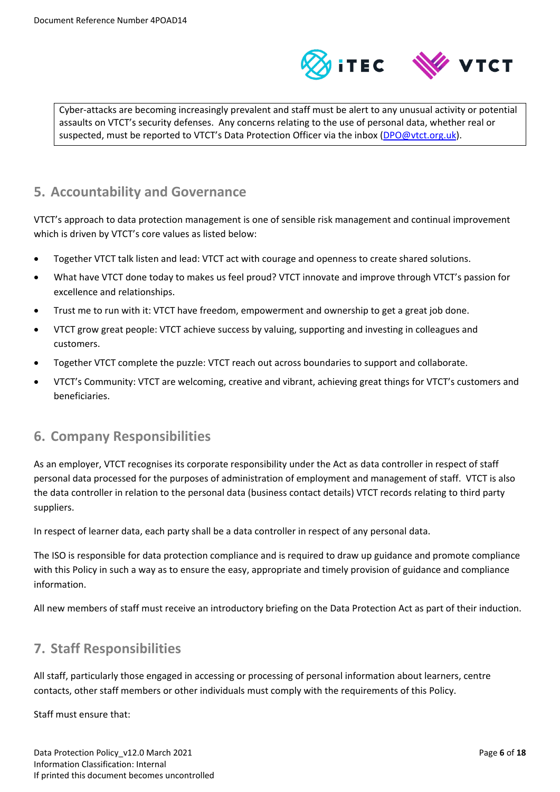

Cyber-attacks are becoming increasingly prevalent and staff must be alert to any unusual activity or potential assaults on VTCT's security defenses. Any concerns relating to the use of personal data, whether real or suspected, must be reported to VTCT's Data Protection Officer via the inbox [\(DPO@vtct.org.uk\)](mailto:DPO@vtct.org.uk).

## <span id="page-5-0"></span>**5. Accountability and Governance**

VTCT's approach to data protection management is one of sensible risk management and continual improvement which is driven by VTCT's core values as listed below:

- Together VTCT talk listen and lead: VTCT act with courage and openness to create shared solutions.
- What have VTCT done today to makes us feel proud? VTCT innovate and improve through VTCT's passion for excellence and relationships.
- Trust me to run with it: VTCT have freedom, empowerment and ownership to get a great job done.
- VTCT grow great people: VTCT achieve success by valuing, supporting and investing in colleagues and customers.
- Together VTCT complete the puzzle: VTCT reach out across boundaries to support and collaborate.
- VTCT's Community: VTCT are welcoming, creative and vibrant, achieving great things for VTCT's customers and beneficiaries.

# <span id="page-5-1"></span>**6. Company Responsibilities**

As an employer, VTCT recognises its corporate responsibility under the Act as data controller in respect of staff personal data processed for the purposes of administration of employment and management of staff. VTCT is also the data controller in relation to the personal data (business contact details) VTCT records relating to third party suppliers.

In respect of learner data, each party shall be a data controller in respect of any personal data.

The ISO is responsible for data protection compliance and is required to draw up guidance and promote compliance with this Policy in such a way as to ensure the easy, appropriate and timely provision of guidance and compliance information.

All new members of staff must receive an introductory briefing on the Data Protection Act as part of their induction.

# <span id="page-5-2"></span>**7. Staff Responsibilities**

All staff, particularly those engaged in accessing or processing of personal information about learners, centre contacts, other staff members or other individuals must comply with the requirements of this Policy.

Staff must ensure that: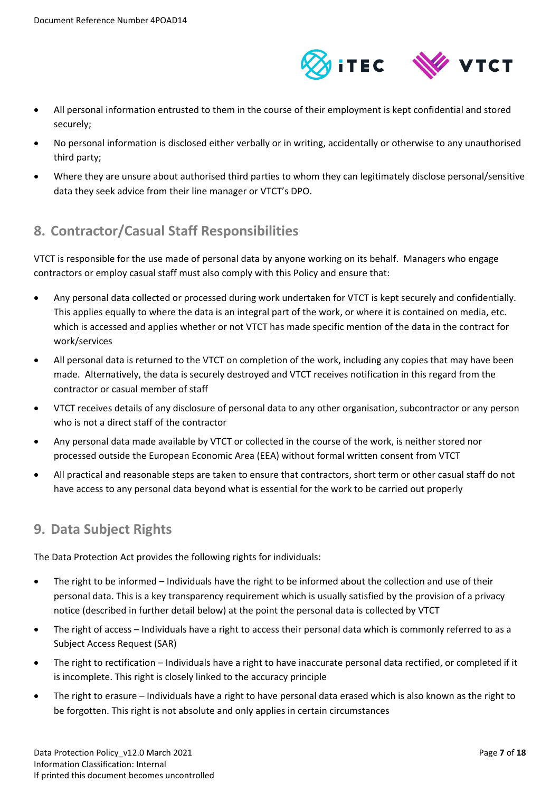

- All personal information entrusted to them in the course of their employment is kept confidential and stored securely;
- No personal information is disclosed either verbally or in writing, accidentally or otherwise to any unauthorised third party;
- Where they are unsure about authorised third parties to whom they can legitimately disclose personal/sensitive data they seek advice from their line manager or VTCT's DPO.

# <span id="page-6-0"></span>**8. Contractor/Casual Staff Responsibilities**

VTCT is responsible for the use made of personal data by anyone working on its behalf. Managers who engage contractors or employ casual staff must also comply with this Policy and ensure that:

- Any personal data collected or processed during work undertaken for VTCT is kept securely and confidentially. This applies equally to where the data is an integral part of the work, or where it is contained on media, etc. which is accessed and applies whether or not VTCT has made specific mention of the data in the contract for work/services
- All personal data is returned to the VTCT on completion of the work, including any copies that may have been made. Alternatively, the data is securely destroyed and VTCT receives notification in this regard from the contractor or casual member of staff
- VTCT receives details of any disclosure of personal data to any other organisation, subcontractor or any person who is not a direct staff of the contractor
- Any personal data made available by VTCT or collected in the course of the work, is neither stored nor processed outside the European Economic Area (EEA) without formal written consent from VTCT
- All practical and reasonable steps are taken to ensure that contractors, short term or other casual staff do not have access to any personal data beyond what is essential for the work to be carried out properly

# <span id="page-6-1"></span>**9. Data Subject Rights**

The Data Protection Act provides the following rights for individuals:

- The right to be informed Individuals have the right to be informed about the collection and use of their personal data. This is a key transparency requirement which is usually satisfied by the provision of a privacy notice (described in further detail below) at the point the personal data is collected by VTCT
- The right of access Individuals have a right to access their personal data which is commonly referred to as a Subject Access Request (SAR)
- The right to rectification Individuals have a right to have inaccurate personal data rectified, or completed if it is incomplete. This right is closely linked to the accuracy principle
- The right to erasure Individuals have a right to have personal data erased which is also known as the right to be forgotten. This right is not absolute and only applies in certain circumstances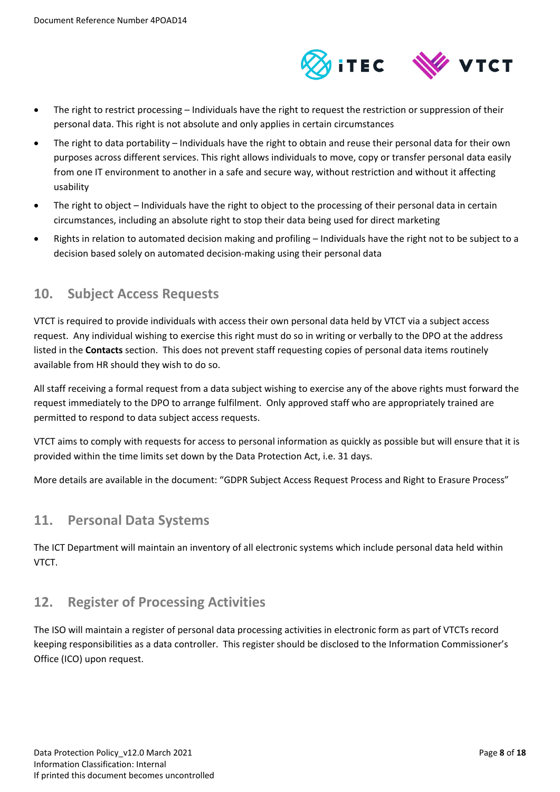

- The right to restrict processing Individuals have the right to request the restriction or suppression of their personal data. This right is not absolute and only applies in certain circumstances
- The right to data portability Individuals have the right to obtain and reuse their personal data for their own purposes across different services. This right allows individuals to move, copy or transfer personal data easily from one IT environment to another in a safe and secure way, without restriction and without it affecting usability
- The right to object Individuals have the right to object to the processing of their personal data in certain circumstances, including an absolute right to stop their data being used for direct marketing
- Rights in relation to automated decision making and profiling Individuals have the right not to be subject to a decision based solely on automated decision-making using their personal data

## <span id="page-7-0"></span>**10. Subject Access Requests**

VTCT is required to provide individuals with access their own personal data held by VTCT via a subject access request. Any individual wishing to exercise this right must do so in writing or verbally to the DPO at the address listed in the **Contacts** section. This does not prevent staff requesting copies of personal data items routinely available from HR should they wish to do so.

All staff receiving a formal request from a data subject wishing to exercise any of the above rights must forward the request immediately to the DPO to arrange fulfilment. Only approved staff who are appropriately trained are permitted to respond to data subject access requests.

VTCT aims to comply with requests for access to personal information as quickly as possible but will ensure that it is provided within the time limits set down by the Data Protection Act, i.e. 31 days.

More details are available in the document: "GDPR Subject Access Request Process and Right to Erasure Process"

## <span id="page-7-1"></span>**11. Personal Data Systems**

The ICT Department will maintain an inventory of all electronic systems which include personal data held within VTCT.

## <span id="page-7-2"></span>**12. Register of Processing Activities**

The ISO will maintain a register of personal data processing activities in electronic form as part of VTCTs record keeping responsibilities as a data controller. This register should be disclosed to the Information Commissioner's Office (ICO) upon request.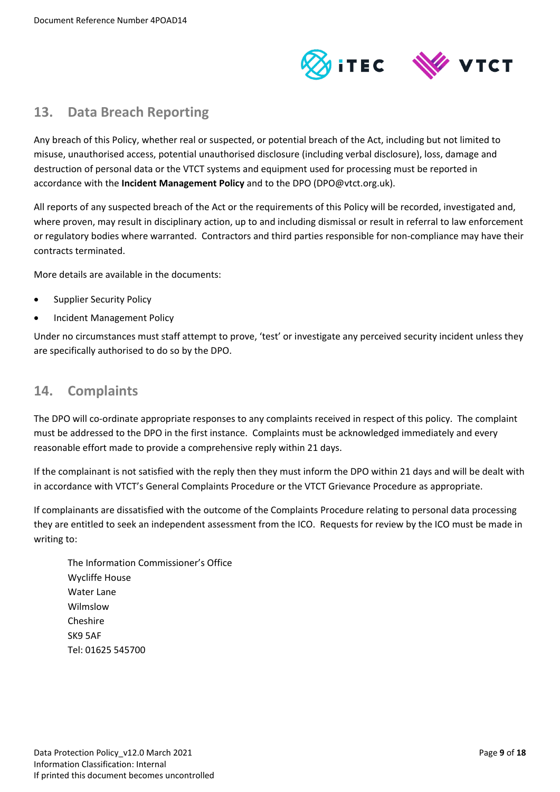

## <span id="page-8-0"></span>**13. Data Breach Reporting**

Any breach of this Policy, whether real or suspected, or potential breach of the Act, including but not limited to misuse, unauthorised access, potential unauthorised disclosure (including verbal disclosure), loss, damage and destruction of personal data or the VTCT systems and equipment used for processing must be reported in accordance with the **Incident Management Policy** and to the DPO (DPO@vtct.org.uk).

All reports of any suspected breach of the Act or the requirements of this Policy will be recorded, investigated and, where proven, may result in disciplinary action, up to and including dismissal or result in referral to law enforcement or regulatory bodies where warranted. Contractors and third parties responsible for non-compliance may have their contracts terminated.

More details are available in the documents:

- Supplier Security Policy
- Incident Management Policy

Under no circumstances must staff attempt to prove, 'test' or investigate any perceived security incident unless they are specifically authorised to do so by the DPO.

## <span id="page-8-1"></span>**14. Complaints**

The DPO will co-ordinate appropriate responses to any complaints received in respect of this policy. The complaint must be addressed to the DPO in the first instance. Complaints must be acknowledged immediately and every reasonable effort made to provide a comprehensive reply within 21 days.

If the complainant is not satisfied with the reply then they must inform the DPO within 21 days and will be dealt with in accordance with VTCT's General Complaints Procedure or the VTCT Grievance Procedure as appropriate.

If complainants are dissatisfied with the outcome of the Complaints Procedure relating to personal data processing they are entitled to seek an independent assessment from the ICO. Requests for review by the ICO must be made in writing to:

The Information Commissioner's Office Wycliffe House Water Lane Wilmslow Cheshire SK9 5AF Tel: 01625 545700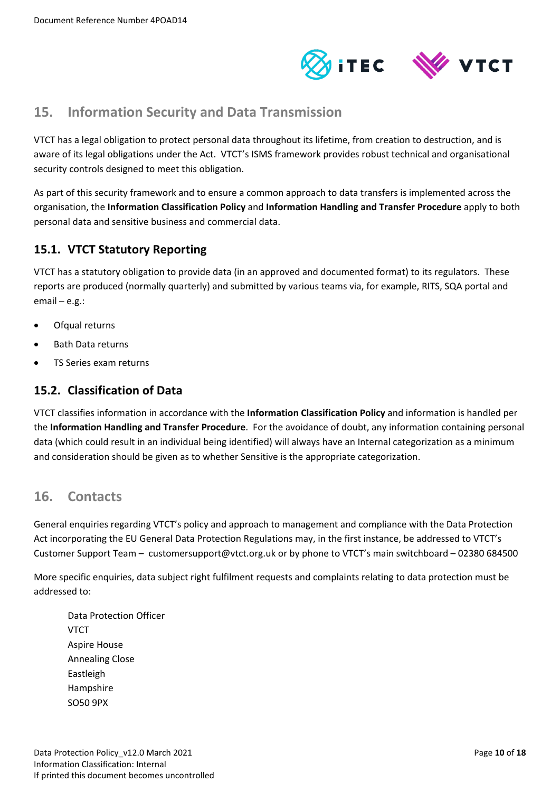

## <span id="page-9-0"></span>**15. Information Security and Data Transmission**

VTCT has a legal obligation to protect personal data throughout its lifetime, from creation to destruction, and is aware of its legal obligations under the Act. VTCT's ISMS framework provides robust technical and organisational security controls designed to meet this obligation.

As part of this security framework and to ensure a common approach to data transfers is implemented across the organisation, the **Information Classification Policy** and **Information Handling and Transfer Procedure** apply to both personal data and sensitive business and commercial data.

## <span id="page-9-1"></span>**15.1. VTCT Statutory Reporting**

VTCT has a statutory obligation to provide data (in an approved and documented format) to its regulators. These reports are produced (normally quarterly) and submitted by various teams via, for example, RITS, SQA portal and email – e.g.:

- Ofqual returns
- Bath Data returns
- TS Series exam returns

## <span id="page-9-2"></span>**15.2. Classification of Data**

VTCT classifies information in accordance with the **Information Classification Policy** and information is handled per the **Information Handling and Transfer Procedure**. For the avoidance of doubt, any information containing personal data (which could result in an individual being identified) will always have an Internal categorization as a minimum and consideration should be given as to whether Sensitive is the appropriate categorization.

## <span id="page-9-3"></span>**16. Contacts**

General enquiries regarding VTCT's policy and approach to management and compliance with the Data Protection Act incorporating the EU General Data Protection Regulations may, in the first instance, be addressed to VTCT's Customer Support Team – customersupport@vtct.org.uk or by phone to VTCT's main switchboard – 02380 684500

More specific enquiries, data subject right fulfilment requests and complaints relating to data protection must be addressed to:

Data Protection Officer **VTCT** Aspire House Annealing Close Eastleigh Hampshire SO50 9PX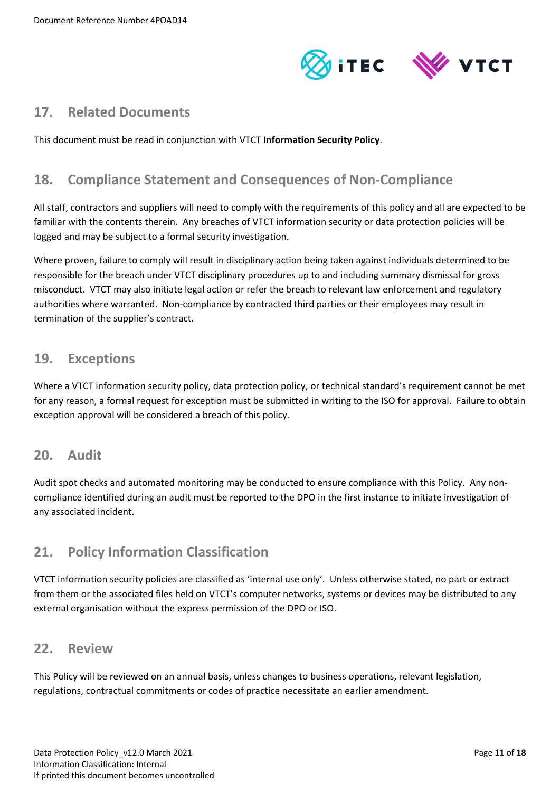



## <span id="page-10-0"></span>**17. Related Documents**

This document must be read in conjunction with VTCT **Information Security Policy**.

# <span id="page-10-1"></span>**18. Compliance Statement and Consequences of Non-Compliance**

All staff, contractors and suppliers will need to comply with the requirements of this policy and all are expected to be familiar with the contents therein. Any breaches of VTCT information security or data protection policies will be logged and may be subject to a formal security investigation.

Where proven, failure to comply will result in disciplinary action being taken against individuals determined to be responsible for the breach under VTCT disciplinary procedures up to and including summary dismissal for gross misconduct. VTCT may also initiate legal action or refer the breach to relevant law enforcement and regulatory authorities where warranted. Non-compliance by contracted third parties or their employees may result in termination of the supplier's contract.

## <span id="page-10-2"></span>**19. Exceptions**

Where a VTCT information security policy, data protection policy, or technical standard's requirement cannot be met for any reason, a formal request for exception must be submitted in writing to the ISO for approval. Failure to obtain exception approval will be considered a breach of this policy.

## <span id="page-10-3"></span>**20. Audit**

Audit spot checks and automated monitoring may be conducted to ensure compliance with this Policy. Any noncompliance identified during an audit must be reported to the DPO in the first instance to initiate investigation of any associated incident.

# <span id="page-10-4"></span>**21. Policy Information Classification**

VTCT information security policies are classified as 'internal use only'. Unless otherwise stated, no part or extract from them or the associated files held on VTCT's computer networks, systems or devices may be distributed to any external organisation without the express permission of the DPO or ISO.

## <span id="page-10-5"></span>**22. Review**

This Policy will be reviewed on an annual basis, unless changes to business operations, relevant legislation, regulations, contractual commitments or codes of practice necessitate an earlier amendment.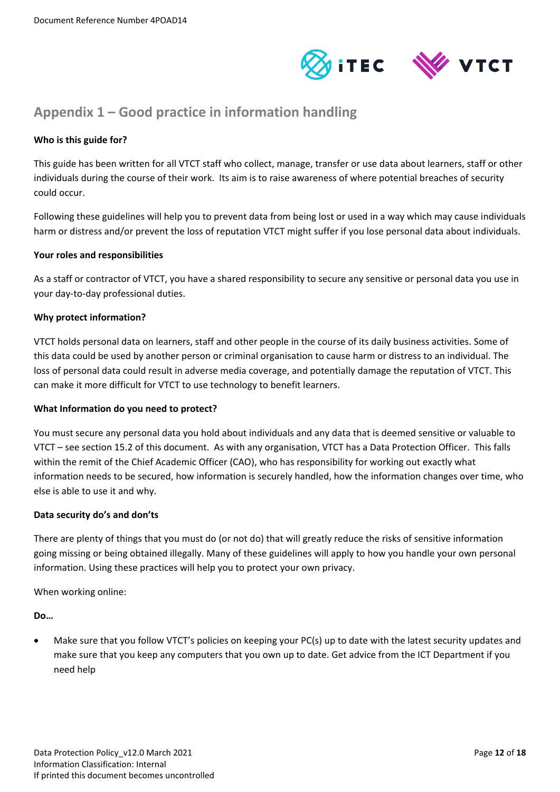



# <span id="page-11-0"></span>**Appendix 1 – Good practice in information handling**

## **Who is this guide for?**

This guide has been written for all VTCT staff who collect, manage, transfer or use data about learners, staff or other individuals during the course of their work. Its aim is to raise awareness of where potential breaches of security could occur.

Following these guidelines will help you to prevent data from being lost or used in a way which may cause individuals harm or distress and/or prevent the loss of reputation VTCT might suffer if you lose personal data about individuals.

#### **Your roles and responsibilities**

As a staff or contractor of VTCT, you have a shared responsibility to secure any sensitive or personal data you use in your day-to-day professional duties.

## **Why protect information?**

VTCT holds personal data on learners, staff and other people in the course of its daily business activities. Some of this data could be used by another person or criminal organisation to cause harm or distress to an individual. The loss of personal data could result in adverse media coverage, and potentially damage the reputation of VTCT. This can make it more difficult for VTCT to use technology to benefit learners.

#### **What Information do you need to protect?**

You must secure any personal data you hold about individuals and any data that is deemed sensitive or valuable to VTCT – see sectio[n 15.2](#page-9-2) of this document. As with any organisation, VTCT has a Data Protection Officer. This falls within the remit of the Chief Academic Officer (CAO), who has responsibility for working out exactly what information needs to be secured, how information is securely handled, how the information changes over time, who else is able to use it and why.

#### **Data security do's and don'ts**

There are plenty of things that you must do (or not do) that will greatly reduce the risks of sensitive information going missing or being obtained illegally. Many of these guidelines will apply to how you handle your own personal information. Using these practices will help you to protect your own privacy.

When working online:

**Do…**

• Make sure that you follow VTCT's policies on keeping your PC(s) up to date with the latest security updates and make sure that you keep any computers that you own up to date. Get advice from the ICT Department if you need help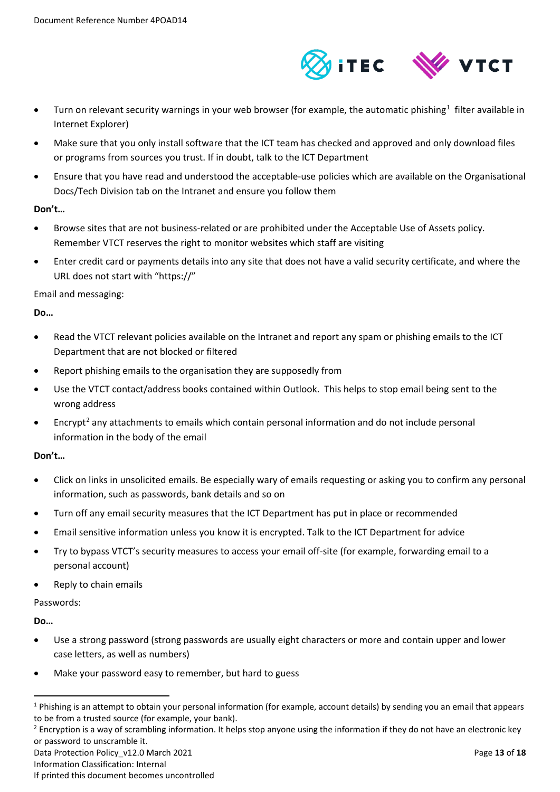

- $\bullet$  Turn on relevant security warnings in your web browser (for example, the automatic phishing<sup>[1](#page-12-0)</sup> filter available in Internet Explorer)
- Make sure that you only install software that the ICT team has checked and approved and only download files or programs from sources you trust. If in doubt, talk to the ICT Department
- Ensure that you have read and understood the acceptable-use policies which are available on the Organisational Docs/Tech Division tab on the Intranet and ensure you follow them

#### **Don't…**

- Browse sites that are not business-related or are prohibited under the Acceptable Use of Assets policy. Remember VTCT reserves the right to monitor websites which staff are visiting
- Enter credit card or payments details into any site that does not have a valid security certificate, and where the URL does not start with "https://"

#### Email and messaging:

#### **Do…**

- Read the VTCT relevant policies available on the Intranet and report any spam or phishing emails to the ICT Department that are not blocked or filtered
- Report phishing emails to the organisation they are supposedly from
- Use the VTCT contact/address books contained within Outlook. This helps to stop email being sent to the wrong address
- Encrypt<sup>[2](#page-12-1)</sup> any attachments to emails which contain personal information and do not include personal information in the body of the email

## **Don't…**

- Click on links in unsolicited emails. Be especially wary of emails requesting or asking you to confirm any personal information, such as passwords, bank details and so on
- Turn off any email security measures that the ICT Department has put in place or recommended
- Email sensitive information unless you know it is encrypted. Talk to the ICT Department for advice
- Try to bypass VTCT's security measures to access your email off-site (for example, forwarding email to a personal account)
- Reply to chain emails

#### Passwords:

**Do…**

- Use a strong password (strong passwords are usually eight characters or more and contain upper and lower case letters, as well as numbers)
- Make your password easy to remember, but hard to guess

<span id="page-12-0"></span> $1$  Phishing is an attempt to obtain your personal information (for example, account details) by sending you an email that appears to be from a trusted source (for example, your bank).

<span id="page-12-1"></span><sup>&</sup>lt;sup>2</sup> Encryption is a way of scrambling information. It helps stop anyone using the information if they do not have an electronic key or password to unscramble it.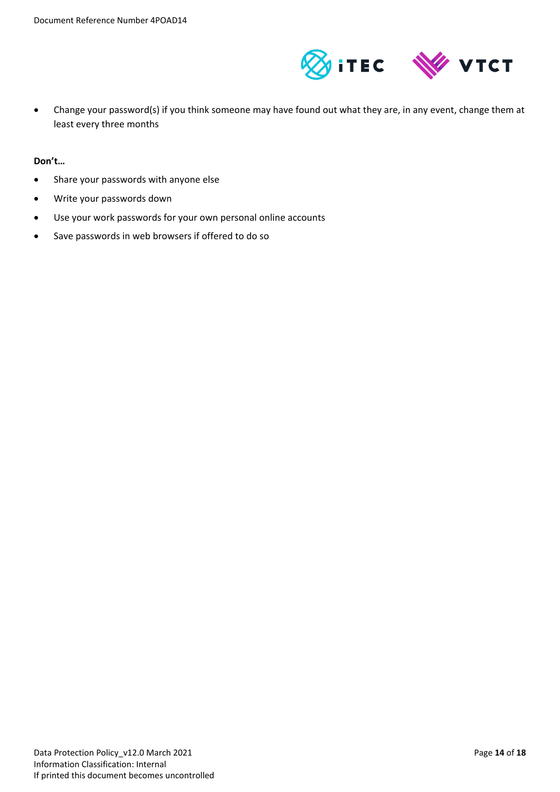

• Change your password(s) if you think someone may have found out what they are, in any event, change them at least every three months

**Don't…**

- Share your passwords with anyone else
- Write your passwords down
- Use your work passwords for your own personal online accounts
- Save passwords in web browsers if offered to do so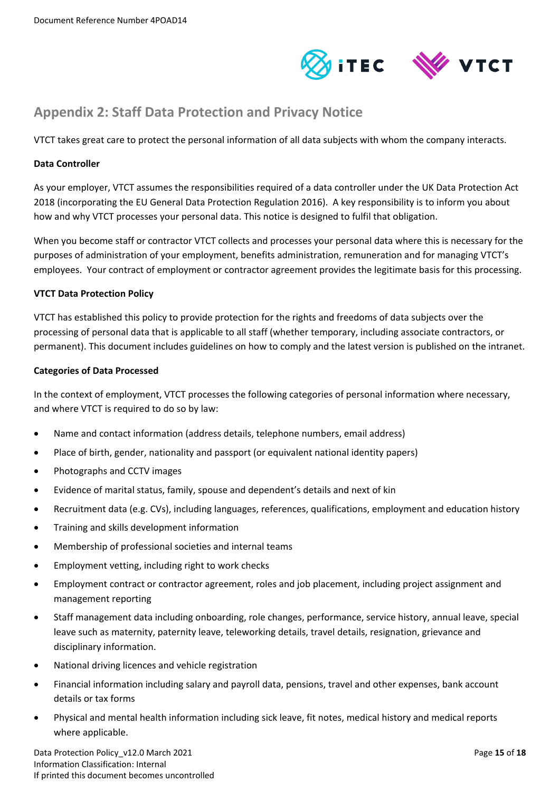

## <span id="page-14-0"></span>**Appendix 2: Staff Data Protection and Privacy Notice**

VTCT takes great care to protect the personal information of all data subjects with whom the company interacts.

#### **Data Controller**

As your employer, VTCT assumes the responsibilities required of a data controller under the UK Data Protection Act 2018 (incorporating the EU General Data Protection Regulation 2016). A key responsibility is to inform you about how and why VTCT processes your personal data. This notice is designed to fulfil that obligation.

When you become staff or contractor VTCT collects and processes your personal data where this is necessary for the purposes of administration of your employment, benefits administration, remuneration and for managing VTCT's employees. Your contract of employment or contractor agreement provides the legitimate basis for this processing.

## **VTCT Data Protection Policy**

VTCT has established this policy to provide protection for the rights and freedoms of data subjects over the processing of personal data that is applicable to all staff (whether temporary, including associate contractors, or permanent). This document includes guidelines on how to comply and the latest version is published on the intranet.

## **Categories of Data Processed**

In the context of employment, VTCT processes the following categories of personal information where necessary, and where VTCT is required to do so by law:

- Name and contact information (address details, telephone numbers, email address)
- Place of birth, gender, nationality and passport (or equivalent national identity papers)
- Photographs and CCTV images
- Evidence of marital status, family, spouse and dependent's details and next of kin
- Recruitment data (e.g. CVs), including languages, references, qualifications, employment and education history
- Training and skills development information
- Membership of professional societies and internal teams
- Employment vetting, including right to work checks
- Employment contract or contractor agreement, roles and job placement, including project assignment and management reporting
- Staff management data including onboarding, role changes, performance, service history, annual leave, special leave such as maternity, paternity leave, teleworking details, travel details, resignation, grievance and disciplinary information.
- National driving licences and vehicle registration
- Financial information including salary and payroll data, pensions, travel and other expenses, bank account details or tax forms
- Physical and mental health information including sick leave, fit notes, medical history and medical reports where applicable.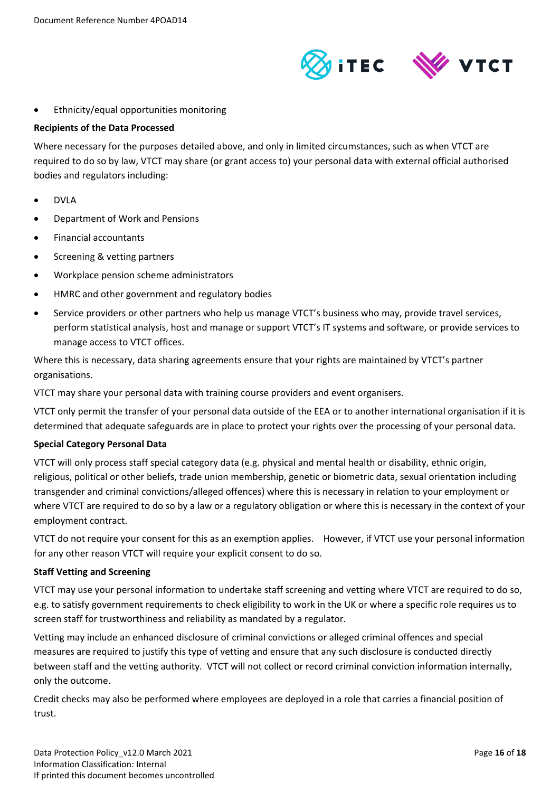

## • Ethnicity/equal opportunities monitoring

#### **Recipients of the Data Processed**

Where necessary for the purposes detailed above, and only in limited circumstances, such as when VTCT are required to do so by law, VTCT may share (or grant access to) your personal data with external official authorised bodies and regulators including:

- DVLA
- Department of Work and Pensions
- Financial accountants
- Screening & vetting partners
- Workplace pension scheme administrators
- HMRC and other government and regulatory bodies
- Service providers or other partners who help us manage VTCT's business who may, provide travel services, perform statistical analysis, host and manage or support VTCT's IT systems and software, or provide services to manage access to VTCT offices.

Where this is necessary, data sharing agreements ensure that your rights are maintained by VTCT's partner organisations.

VTCT may share your personal data with training course providers and event organisers.

VTCT only permit the transfer of your personal data outside of the EEA or to another international organisation if it is determined that adequate safeguards are in place to protect your rights over the processing of your personal data.

#### **Special Category Personal Data**

VTCT will only process staff special category data (e.g. physical and mental health or disability, ethnic origin, religious, political or other beliefs, trade union membership, genetic or biometric data, sexual orientation including transgender and criminal convictions/alleged offences) where this is necessary in relation to your employment or where VTCT are required to do so by a law or a regulatory obligation or where this is necessary in the context of your employment contract.

VTCT do not require your consent for this as an exemption applies. However, if VTCT use your personal information for any other reason VTCT will require your explicit consent to do so.

#### **Staff Vetting and Screening**

VTCT may use your personal information to undertake staff screening and vetting where VTCT are required to do so, e.g. to satisfy government requirements to check eligibility to work in the UK or where a specific role requires us to screen staff for trustworthiness and reliability as mandated by a regulator.

Vetting may include an enhanced disclosure of criminal convictions or alleged criminal offences and special measures are required to justify this type of vetting and ensure that any such disclosure is conducted directly between staff and the vetting authority. VTCT will not collect or record criminal conviction information internally, only the outcome.

Credit checks may also be performed where employees are deployed in a role that carries a financial position of trust.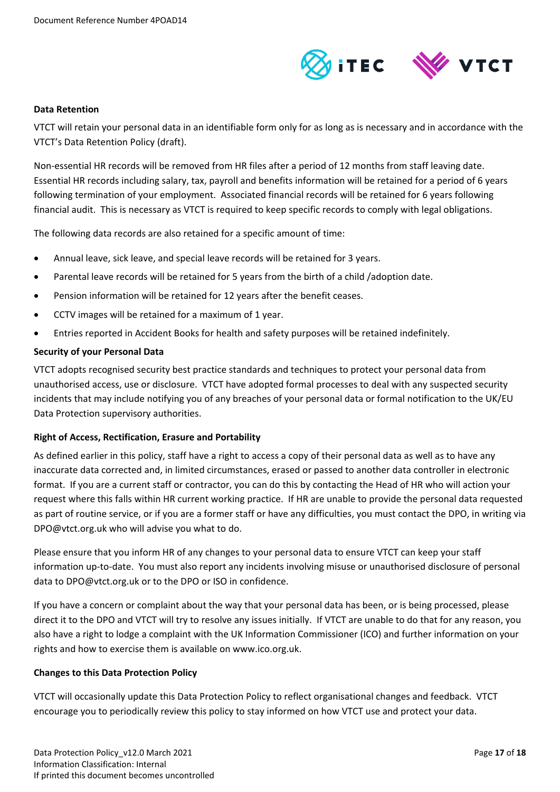

#### **Data Retention**

VTCT will retain your personal data in an identifiable form only for as long as is necessary and in accordance with the VTCT's Data Retention Policy (draft).

Non-essential HR records will be removed from HR files after a period of 12 months from staff leaving date. Essential HR records including salary, tax, payroll and benefits information will be retained for a period of 6 years following termination of your employment. Associated financial records will be retained for 6 years following financial audit. This is necessary as VTCT is required to keep specific records to comply with legal obligations.

The following data records are also retained for a specific amount of time:

- Annual leave, sick leave, and special leave records will be retained for 3 years.
- Parental leave records will be retained for 5 years from the birth of a child /adoption date.
- Pension information will be retained for 12 years after the benefit ceases.
- CCTV images will be retained for a maximum of 1 year.
- Entries reported in Accident Books for health and safety purposes will be retained indefinitely.

#### **Security of your Personal Data**

VTCT adopts recognised security best practice standards and techniques to protect your personal data from unauthorised access, use or disclosure. VTCT have adopted formal processes to deal with any suspected security incidents that may include notifying you of any breaches of your personal data or formal notification to the UK/EU Data Protection supervisory authorities.

#### **Right of Access, Rectification, Erasure and Portability**

As defined earlier in this policy, staff have a right to access a copy of their personal data as well as to have any inaccurate data corrected and, in limited circumstances, erased or passed to another data controller in electronic format. If you are a current staff or contractor, you can do this by contacting the Head of HR who will action your request where this falls within HR current working practice. If HR are unable to provide the personal data requested as part of routine service, or if you are a former staff or have any difficulties, you must contact the DPO, in writing via DPO@vtct.org.uk who will advise you what to do.

Please ensure that you inform HR of any changes to your personal data to ensure VTCT can keep your staff information up-to-date. You must also report any incidents involving misuse or unauthorised disclosure of personal data to DPO@vtct.org.uk or to the DPO or ISO in confidence.

If you have a concern or complaint about the way that your personal data has been, or is being processed, please direct it to the DPO and VTCT will try to resolve any issues initially. If VTCT are unable to do that for any reason, you also have a right to lodge a complaint with the UK Information Commissioner (ICO) and further information on your rights and how to exercise them is available on www.ico.org.uk.

#### **Changes to this Data Protection Policy**

VTCT will occasionally update this Data Protection Policy to reflect organisational changes and feedback. VTCT encourage you to periodically review this policy to stay informed on how VTCT use and protect your data.